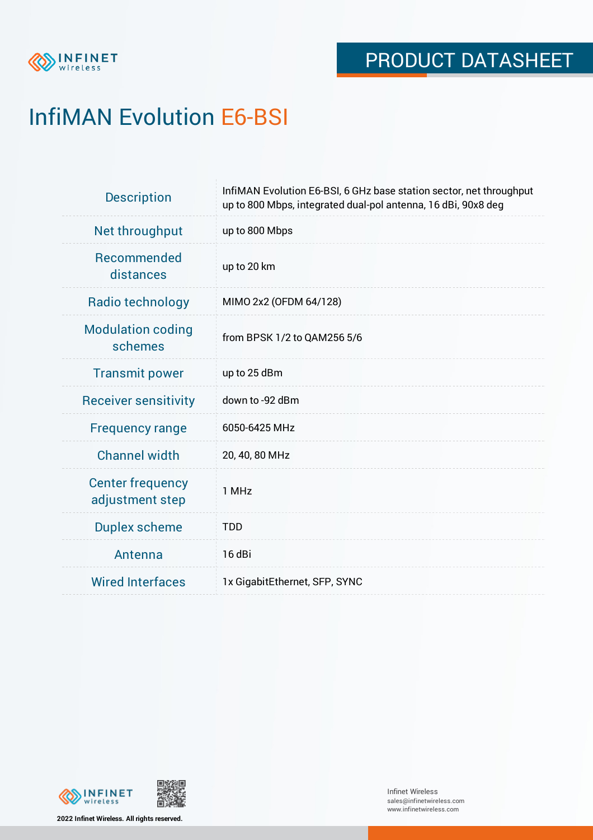

# InfiMAN Evolution E6-BSI

| <b>Description</b>                         | InfiMAN Evolution E6-BSI, 6 GHz base station sector, net throughput<br>up to 800 Mbps, integrated dual-pol antenna, 16 dBi, 90x8 deg |
|--------------------------------------------|--------------------------------------------------------------------------------------------------------------------------------------|
| Net throughput                             | up to 800 Mbps                                                                                                                       |
| <b>Recommended</b><br>distances            | up to 20 km                                                                                                                          |
| Radio technology                           | MIMO 2x2 (OFDM 64/128)                                                                                                               |
| <b>Modulation coding</b><br>schemes        | from BPSK 1/2 to QAM256 5/6                                                                                                          |
| <b>Transmit power</b>                      | up to 25 dBm                                                                                                                         |
| <b>Receiver sensitivity</b>                | down to -92 dBm                                                                                                                      |
| <b>Frequency range</b>                     | 6050-6425 MHz                                                                                                                        |
| <b>Channel width</b>                       | 20, 40, 80 MHz                                                                                                                       |
| <b>Center frequency</b><br>adjustment step | 1 MHz                                                                                                                                |
| <b>Duplex scheme</b>                       | <b>TDD</b>                                                                                                                           |
| Antenna                                    | 16 dBi                                                                                                                               |
| <b>Wired Interfaces</b>                    | 1x GigabitEthernet, SFP, SYNC                                                                                                        |



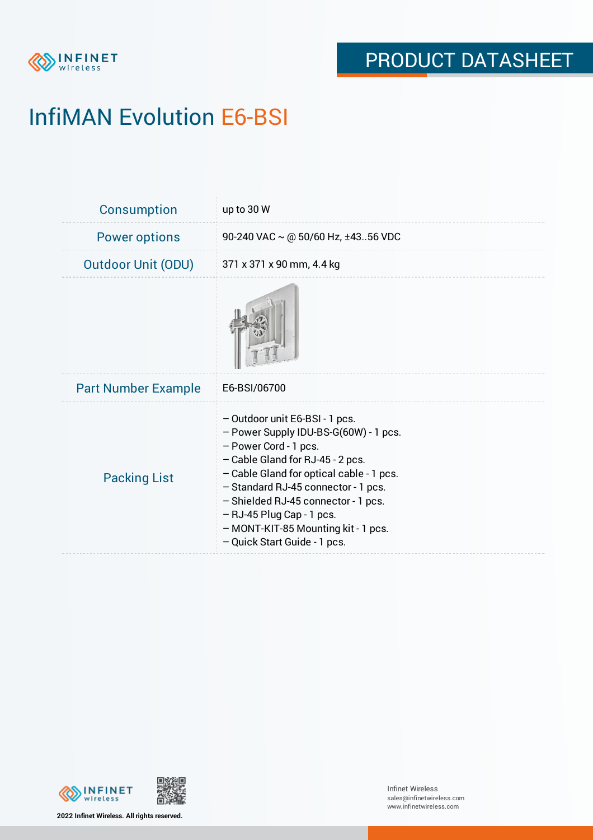

# InfiMAN Evolution E6-BSI

| <b>Consumption</b>         | up to 30 W                                                                                                                                                                                                                                                                                                                                                           |
|----------------------------|----------------------------------------------------------------------------------------------------------------------------------------------------------------------------------------------------------------------------------------------------------------------------------------------------------------------------------------------------------------------|
| <b>Power options</b>       | 90-240 VAC $\sim$ @ 50/60 Hz, ±4356 VDC                                                                                                                                                                                                                                                                                                                              |
| <b>Outdoor Unit (ODU)</b>  | 371 x 371 x 90 mm, 4.4 kg                                                                                                                                                                                                                                                                                                                                            |
|                            |                                                                                                                                                                                                                                                                                                                                                                      |
| <b>Part Number Example</b> | E6-BSI/06700                                                                                                                                                                                                                                                                                                                                                         |
| <b>Packing List</b>        | - Outdoor unit E6-BSI - 1 pcs.<br>- Power Supply IDU-BS-G(60W) - 1 pcs.<br>- Power Cord - 1 pcs.<br>- Cable Gland for RJ-45 - 2 pcs.<br>- Cable Gland for optical cable - 1 pcs.<br>- Standard RJ-45 connector - 1 pcs.<br>- Shielded RJ-45 connector - 1 pcs.<br>$-$ RJ-45 Plug Cap - 1 pcs.<br>- MONT-KIT-85 Mounting kit - 1 pcs.<br>- Quick Start Guide - 1 pcs. |





**2022 Infinet Wireless. All rights reserved.**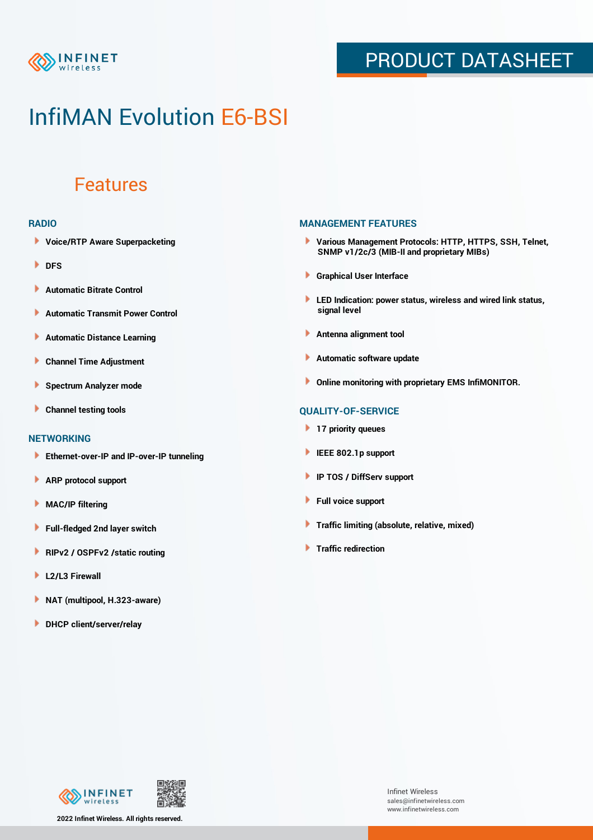

## PRODUCT DATASHEET

## InfiMAN Evolution E6-BSI

### Features

#### **RADIO**

- **Voice/RTP Aware Superpacketing**
- **DFS**
- **Automatic Bitrate Control** Þ
- Þ **Automatic Transmit Power Control**
- Þ **Automatic Distance Learning**
- Þ **Channel Time Adjustment**
- Þ **Spectrum Analyzer mode**
- Þ **Channel testing tools**

### **NETWORKING**

- **Ethernet-over-IP and IP-over-IP tunneling**
- Þ **ARP protocol support**
- **MAC/IP filtering** Þ
- **Full-fledged 2nd layer switch**
- Þ **RIPv2 / OSPFv2 /static routing**
- ٠ **L2/L3 Firewall**
- **NAT (multipool, H.323-aware)**
- **DHCP client/server/relay**

### **MANAGEMENT FEATURES**

- **Various Management Protocols: HTTP, HTTPS, SSH, Telnet, SNMP v1/2c/3 (MIB-II and proprietary MIBs)**
- **Graphical User Interface**
- **LED Indication: power status, wireless and wired link status, signal level**
- **Antenna alignment tool**
- ٠ **Automatic software update**
- **Online monitoring with proprietary EMS InfiMONITOR.**

### **QUALITY-OF-SERVICE**

- **17 priority queues**
- **IEEE 802.1p support**
- **IP TOS / DiffServ support**
- ٠ **Full voice support**
- **Traffic limiting (absolute, relative, mixed)** ٠
- **Traffic redirection**